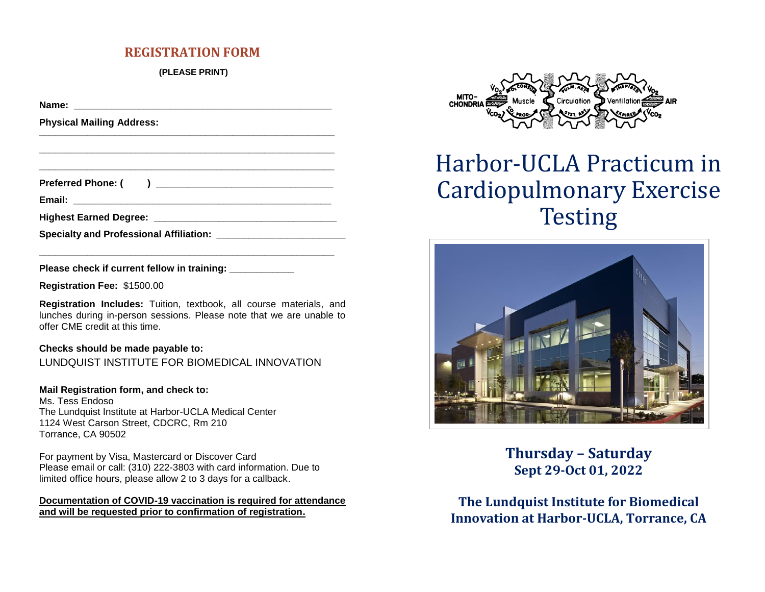## **REGISTRATION FORM**

**(PLEASE PRINT)**

**Name:**  $\blacksquare$ **Physical Mailing Address: \_\_\_\_\_\_\_\_\_\_\_\_\_\_\_\_\_\_\_\_\_\_\_\_\_\_\_\_\_\_\_\_\_\_\_\_\_\_\_\_\_\_\_\_\_\_\_\_\_\_\_\_\_\_\_ \_\_\_\_\_\_\_\_\_\_\_\_\_\_\_\_\_\_\_\_\_\_\_\_\_\_\_\_\_\_\_\_\_\_\_\_\_\_\_\_\_\_\_\_\_\_\_\_\_\_\_\_\_\_\_ \_\_\_\_\_\_\_\_\_\_\_\_\_\_\_\_\_\_\_\_\_\_\_\_\_\_\_\_\_\_\_\_\_\_\_\_\_\_\_\_\_\_\_\_\_\_\_\_\_\_\_\_\_\_\_ Preferred Phone: ( ) \_\_\_\_\_\_\_\_\_\_\_\_\_\_\_\_\_\_\_\_\_\_\_\_\_\_\_\_\_\_\_\_\_ Email: \_\_\_\_\_\_\_\_\_\_\_\_\_\_\_\_\_\_\_\_\_\_\_\_\_\_\_\_\_\_\_\_\_\_\_\_\_\_\_\_\_\_\_\_\_\_\_\_ Highest Earned Degree: We are all that the set of the set of the set of the set of the set of the set of the set of the set of the set of the set of the set of the set of the set of the set of the set of the set of the Specialty and Professional Affiliation: \_\_\_\_\_\_\_\_\_\_\_\_\_\_\_\_\_\_\_\_\_\_\_\_\_\_\_\_\_\_\_\_\_\_\_\_\_\_\_\_\_\_\_\_\_\_\_\_\_\_\_\_\_\_\_**

Please check if current fellow in training:

**Registration Fee:** \$1500.00

**Registration Includes:** Tuition, textbook, all course materials, and lunches during in-person sessions. Please note that we are unable to offer CME credit at this time.

### **Checks should be made payable to:**

LUNDQUIST INSTITUTE FOR BIOMEDICAL INNOVATION

### **Mail Registration form, and check to:**

Ms. Tess Endoso The Lundquist Institute at Harbor-UCLA Medical Center 1124 West Carson Street, CDCRC, Rm 210 Torrance, CA 90502

For payment by Visa, Mastercard or Discover Card Please email or call: (310) 222-3803 with card information. Due to limited office hours, please allow 2 to 3 days for a callback.

**Documentation of COVID-19 vaccination is required for attendance and will be requested prior to confirmation of registration.**



# Harbor-UCLA Practicum in Cardiopulmonary Exercise **Testing**



**Thursday – Saturday Sept 29-Oct 01, 2022**

**The Lundquist Institute for Biomedical Innovation at Harbor-UCLA, Torrance, CA**